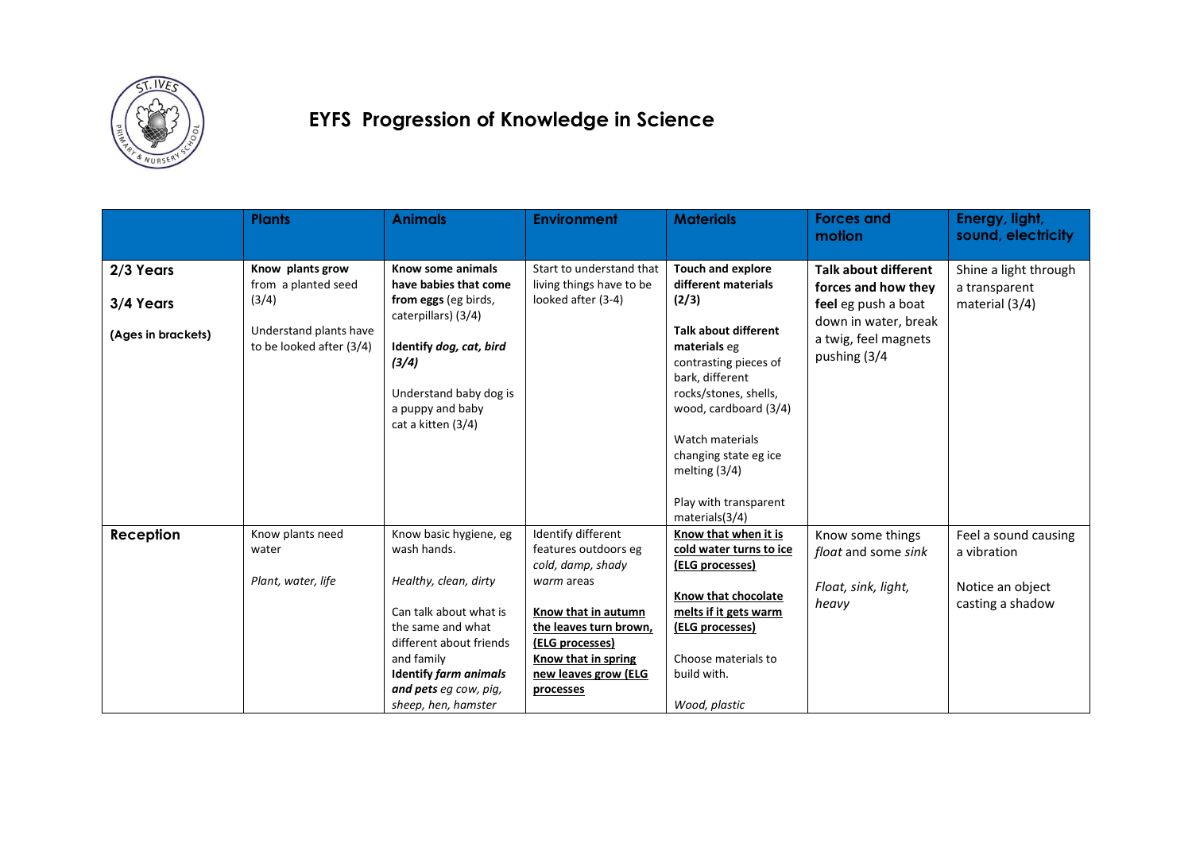

### **EYFS Progression of Knowledge in Science**

|                    | <b>Plants</b>                                      | <b>Animals</b>                                                                                                                                                                                | <b>Environment</b>                                                                                                                         | <b>Materials</b>                                                                                                                                                                                                                  | <b>Forces and</b><br>motion                                  | Energy, light,<br>sound, electricity |
|--------------------|----------------------------------------------------|-----------------------------------------------------------------------------------------------------------------------------------------------------------------------------------------------|--------------------------------------------------------------------------------------------------------------------------------------------|-----------------------------------------------------------------------------------------------------------------------------------------------------------------------------------------------------------------------------------|--------------------------------------------------------------|--------------------------------------|
| 2/3 Years          | Know plants grow                                   | Know some animals                                                                                                                                                                             | Start to understand that                                                                                                                   | <b>Touch and explore</b>                                                                                                                                                                                                          | <b>Talk about different</b>                                  | Shine a light through                |
|                    | from a planted seed                                | have babies that come                                                                                                                                                                         | living things have to be                                                                                                                   | different materials                                                                                                                                                                                                               | forces and how they                                          | a transparent                        |
| 3/4 Years          | (3/4)                                              | from eggs (eg birds,<br>caterpillars) (3/4)                                                                                                                                                   | looked after (3-4)                                                                                                                         | (2/3)                                                                                                                                                                                                                             | feel eg push a boat                                          | material (3/4)                       |
| (Ages in brackets) | Understand plants have<br>to be looked after (3/4) | Identify dog, cat, bird<br>(3/4)<br>Understand baby dog is<br>a puppy and baby<br>cat a kitten (3/4)                                                                                          |                                                                                                                                            | <b>Talk about different</b><br>materials eg<br>contrasting pieces of<br>bark, different<br>rocks/stones, shells,<br>wood, cardboard (3/4)<br>Watch materials<br>changing state eg ice<br>melting $(3/4)$<br>Play with transparent | down in water, break<br>a twig, feel magnets<br>pushing (3/4 |                                      |
|                    |                                                    |                                                                                                                                                                                               |                                                                                                                                            | materials(3/4)                                                                                                                                                                                                                    |                                                              |                                      |
| <b>Reception</b>   | Know plants need<br>water                          | Know basic hygiene, eg<br>wash hands.                                                                                                                                                         | Identify different<br>features outdoors eg<br>cold, damp, shady                                                                            | Know that when it is<br>cold water turns to ice<br>(ELG processes)                                                                                                                                                                | Know some things<br>float and some sink                      | Feel a sound causing<br>a vibration  |
|                    | Plant, water, life                                 | Healthy, clean, dirty<br>Can talk about what is<br>the same and what<br>different about friends<br>and family<br><b>Identify farm animals</b><br>and pets eq cow, piq,<br>sheep, hen, hamster | warm areas<br>Know that in autumn<br>the leaves turn brown,<br>(ELG processes)<br>Know that in spring<br>new leaves grow (ELG<br>processes | Know that chocolate<br>melts if it gets warm<br>(ELG processes)<br>Choose materials to<br>build with.<br>Wood, plastic                                                                                                            | Float, sink, light,<br>heavy                                 | Notice an object<br>casting a shadow |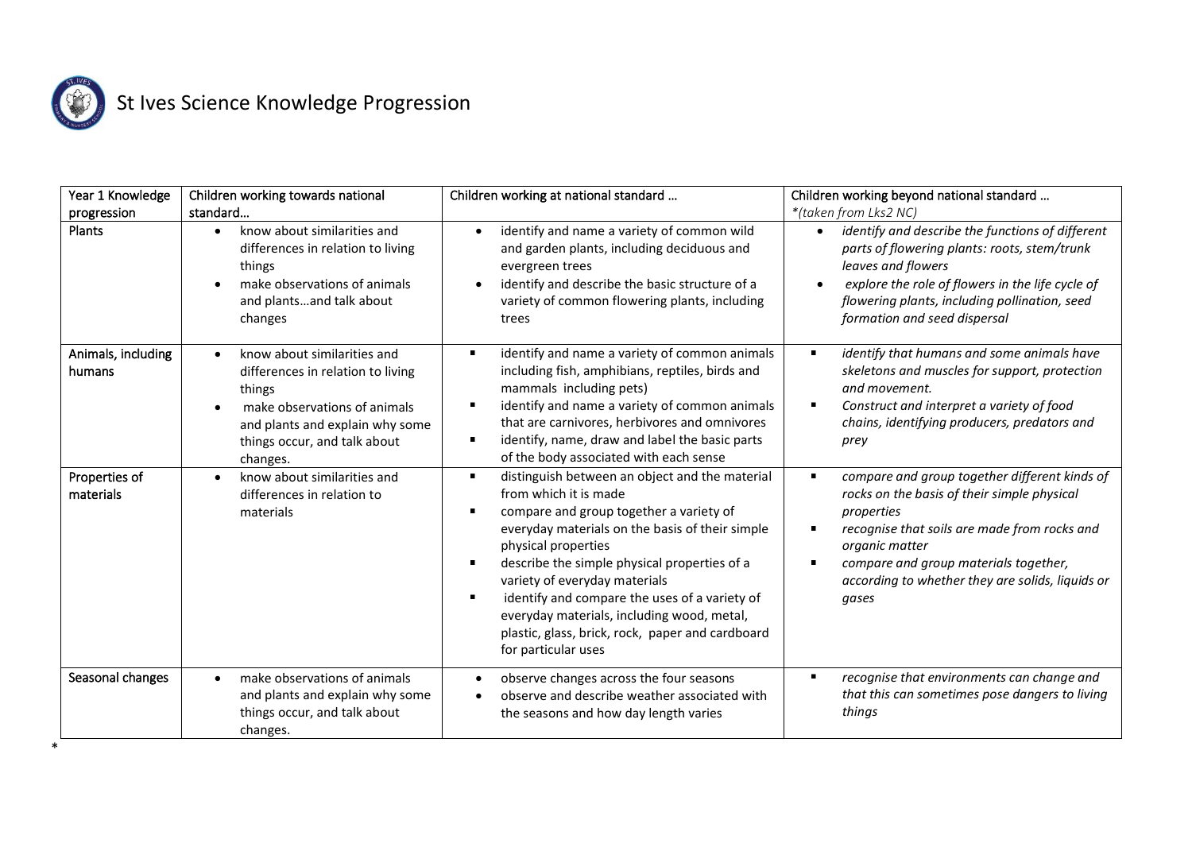

\*

| Year 1 Knowledge             | Children working towards national                                                                                                                                                                      | Children working at national standard                                                                                                                                                                                                                                                                                                                                                                                                                                                       | Children working beyond national standard                                                                                                                                                                                                                                          |
|------------------------------|--------------------------------------------------------------------------------------------------------------------------------------------------------------------------------------------------------|---------------------------------------------------------------------------------------------------------------------------------------------------------------------------------------------------------------------------------------------------------------------------------------------------------------------------------------------------------------------------------------------------------------------------------------------------------------------------------------------|------------------------------------------------------------------------------------------------------------------------------------------------------------------------------------------------------------------------------------------------------------------------------------|
| progression                  | standard                                                                                                                                                                                               |                                                                                                                                                                                                                                                                                                                                                                                                                                                                                             | *(taken from Lks2 NC)                                                                                                                                                                                                                                                              |
| Plants                       | know about similarities and<br>$\bullet$<br>differences in relation to living<br>things<br>make observations of animals<br>and plantsand talk about<br>changes                                         | identify and name a variety of common wild<br>$\bullet$<br>and garden plants, including deciduous and<br>evergreen trees<br>identify and describe the basic structure of a<br>$\bullet$<br>variety of common flowering plants, including<br>trees                                                                                                                                                                                                                                           | identify and describe the functions of different<br>parts of flowering plants: roots, stem/trunk<br>leaves and flowers<br>explore the role of flowers in the life cycle of<br>$\bullet$<br>flowering plants, including pollination, seed<br>formation and seed dispersal           |
| Animals, including<br>humans | know about similarities and<br>$\bullet$<br>differences in relation to living<br>things<br>make observations of animals<br>and plants and explain why some<br>things occur, and talk about<br>changes. | identify and name a variety of common animals<br>$\blacksquare$<br>including fish, amphibians, reptiles, birds and<br>mammals including pets)<br>identify and name a variety of common animals<br>that are carnivores, herbivores and omnivores<br>identify, name, draw and label the basic parts<br>п<br>of the body associated with each sense                                                                                                                                            | identify that humans and some animals have<br>skeletons and muscles for support, protection<br>and movement.<br>Construct and interpret a variety of food<br>chains, identifying producers, predators and<br>prey                                                                  |
| Properties of<br>materials   | know about similarities and<br>differences in relation to<br>materials                                                                                                                                 | distinguish between an object and the material<br>$\blacksquare$<br>from which it is made<br>compare and group together a variety of<br>everyday materials on the basis of their simple<br>physical properties<br>describe the simple physical properties of a<br>$\blacksquare$<br>variety of everyday materials<br>identify and compare the uses of a variety of<br>everyday materials, including wood, metal,<br>plastic, glass, brick, rock, paper and cardboard<br>for particular uses | compare and group together different kinds of<br>rocks on the basis of their simple physical<br>properties<br>recognise that soils are made from rocks and<br>organic matter<br>compare and group materials together,<br>according to whether they are solids, liquids or<br>gases |
| Seasonal changes             | make observations of animals<br>$\bullet$<br>and plants and explain why some<br>things occur, and talk about<br>changes.                                                                               | observe changes across the four seasons<br>$\bullet$<br>observe and describe weather associated with<br>the seasons and how day length varies                                                                                                                                                                                                                                                                                                                                               | recognise that environments can change and<br>$\blacksquare$<br>that this can sometimes pose dangers to living<br>things                                                                                                                                                           |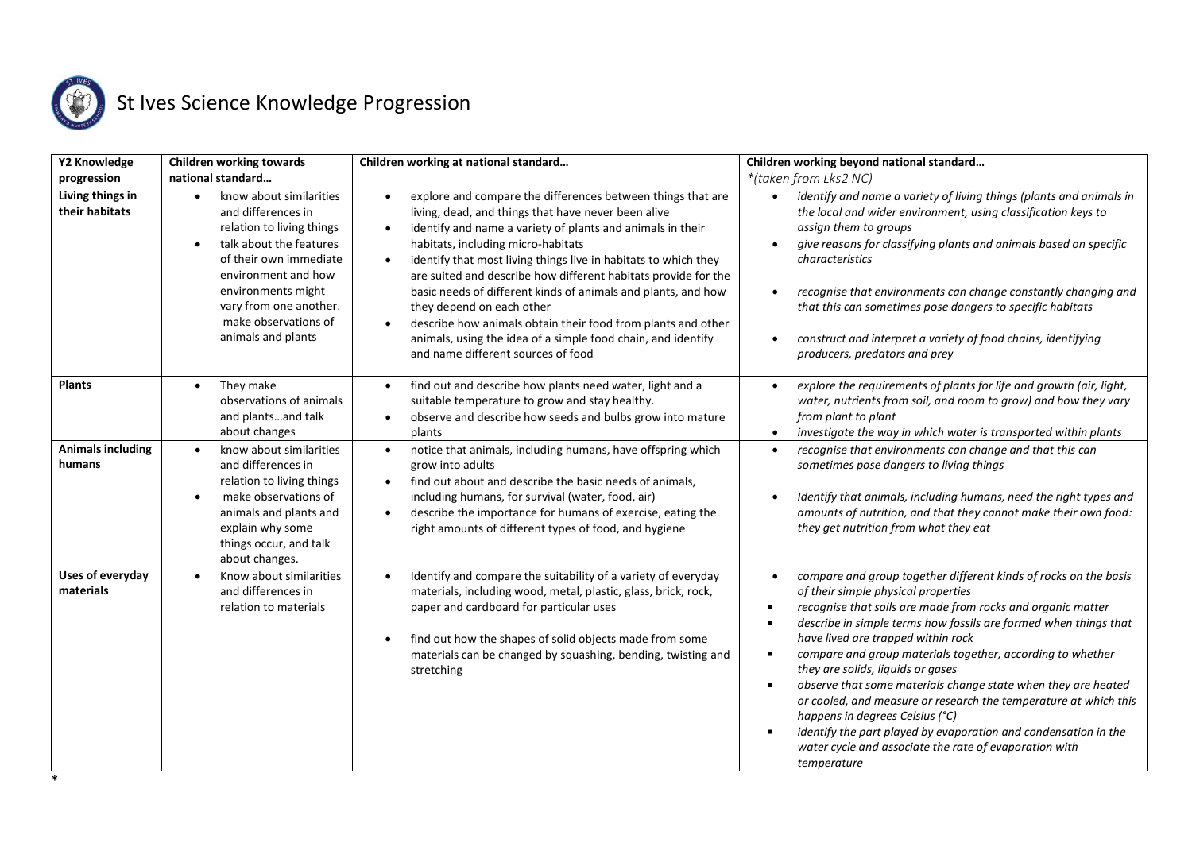

| Y2 Knowledge                                      | <b>Children working towards</b>                                                                                                                                                                                                                                                                     | Children working at national standard                                                                                                                                                                                                                                                                                                                                                                                                                                                                                                                                                                                                                                               | Children working beyond national standard                                                                                                                                                                                                                                                                                                                                                                                                                                                                                                                                                                                                                                                                            |
|---------------------------------------------------|-----------------------------------------------------------------------------------------------------------------------------------------------------------------------------------------------------------------------------------------------------------------------------------------------------|-------------------------------------------------------------------------------------------------------------------------------------------------------------------------------------------------------------------------------------------------------------------------------------------------------------------------------------------------------------------------------------------------------------------------------------------------------------------------------------------------------------------------------------------------------------------------------------------------------------------------------------------------------------------------------------|----------------------------------------------------------------------------------------------------------------------------------------------------------------------------------------------------------------------------------------------------------------------------------------------------------------------------------------------------------------------------------------------------------------------------------------------------------------------------------------------------------------------------------------------------------------------------------------------------------------------------------------------------------------------------------------------------------------------|
| progression<br>Living things in<br>their habitats | national standard<br>know about similarities<br>$\bullet$<br>and differences in<br>relation to living things<br>talk about the features<br>$\bullet$<br>of their own immediate<br>environment and how<br>environments might<br>vary from one another.<br>make observations of<br>animals and plants | explore and compare the differences between things that are<br>$\bullet$<br>living, dead, and things that have never been alive<br>identify and name a variety of plants and animals in their<br>$\bullet$<br>habitats, including micro-habitats<br>identify that most living things live in habitats to which they<br>$\bullet$<br>are suited and describe how different habitats provide for the<br>basic needs of different kinds of animals and plants, and how<br>they depend on each other<br>describe how animals obtain their food from plants and other<br>$\bullet$<br>animals, using the idea of a simple food chain, and identify<br>and name different sources of food | *(taken from Lks2 NC)<br>identify and name a variety of living things (plants and animals in<br>$\bullet$<br>the local and wider environment, using classification keys to<br>assign them to groups<br>give reasons for classifying plants and animals based on specific<br>characteristics<br>recognise that environments can change constantly changing and<br>that this can sometimes pose dangers to specific habitats<br>construct and interpret a variety of food chains, identifying<br>producers, predators and prey                                                                                                                                                                                         |
| <b>Plants</b>                                     | They make<br>$\bullet$<br>observations of animals<br>and plantsand talk<br>about changes                                                                                                                                                                                                            | find out and describe how plants need water, light and a<br>$\bullet$<br>suitable temperature to grow and stay healthy.<br>observe and describe how seeds and bulbs grow into mature<br>$\bullet$<br>plants                                                                                                                                                                                                                                                                                                                                                                                                                                                                         | explore the requirements of plants for life and growth (air, light,<br>water, nutrients from soil, and room to grow) and how they vary<br>from plant to plant<br>investigate the way in which water is transported within plants<br>$\bullet$                                                                                                                                                                                                                                                                                                                                                                                                                                                                        |
| <b>Animals including</b><br>humans                | know about similarities<br>$\bullet$<br>and differences in<br>relation to living things<br>make observations of<br>$\bullet$<br>animals and plants and<br>explain why some<br>things occur, and talk<br>about changes.                                                                              | notice that animals, including humans, have offspring which<br>$\bullet$<br>grow into adults<br>find out about and describe the basic needs of animals,<br>$\bullet$<br>including humans, for survival (water, food, air)<br>describe the importance for humans of exercise, eating the<br>$\bullet$<br>right amounts of different types of food, and hygiene                                                                                                                                                                                                                                                                                                                       | recognise that environments can change and that this can<br>$\bullet$<br>sometimes pose dangers to living things<br>Identify that animals, including humans, need the right types and<br>amounts of nutrition, and that they cannot make their own food:<br>they get nutrition from what they eat                                                                                                                                                                                                                                                                                                                                                                                                                    |
| <b>Uses of everyday</b><br>materials              | Know about similarities<br>$\bullet$<br>and differences in<br>relation to materials                                                                                                                                                                                                                 | Identify and compare the suitability of a variety of everyday<br>$\bullet$<br>materials, including wood, metal, plastic, glass, brick, rock,<br>paper and cardboard for particular uses<br>find out how the shapes of solid objects made from some<br>materials can be changed by squashing, bending, twisting and<br>stretching                                                                                                                                                                                                                                                                                                                                                    | compare and group together different kinds of rocks on the basis<br>$\bullet$<br>of their simple physical properties<br>recognise that soils are made from rocks and organic matter<br>describe in simple terms how fossils are formed when things that<br>have lived are trapped within rock<br>compare and group materials together, according to whether<br>they are solids, liquids or gases<br>observe that some materials change state when they are heated<br>or cooled, and measure or research the temperature at which this<br>happens in degrees Celsius (°C)<br>identify the part played by evaporation and condensation in the<br>water cycle and associate the rate of evaporation with<br>temperature |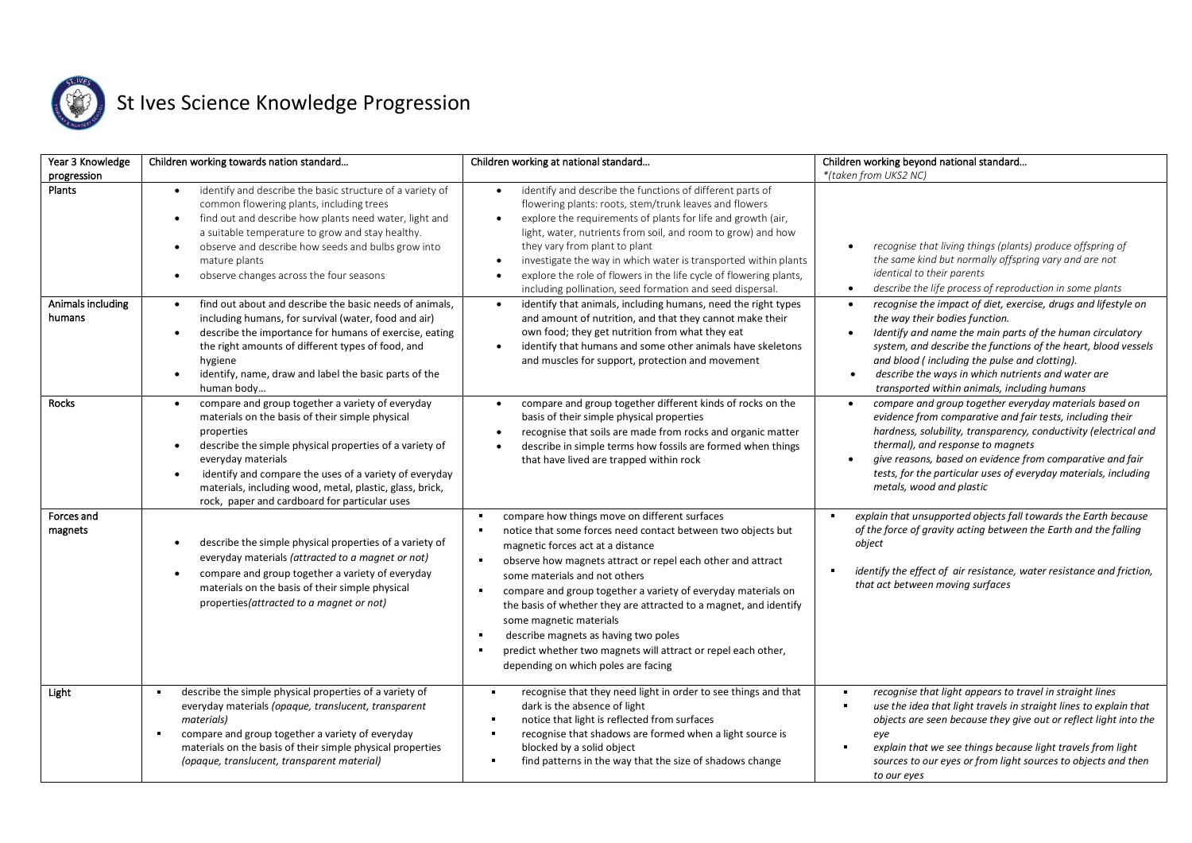

| Year 3 Knowledge            | Children working towards nation standard                                                                                                                                                                                                                                                                                                                                     | Children working at national standard                                                                                                                                                                                                                                                                                                                                                                                                                                                                                                                               | Children working beyond national standard                                                                                                                                                                                                                                                                                                                                                           |
|-----------------------------|------------------------------------------------------------------------------------------------------------------------------------------------------------------------------------------------------------------------------------------------------------------------------------------------------------------------------------------------------------------------------|---------------------------------------------------------------------------------------------------------------------------------------------------------------------------------------------------------------------------------------------------------------------------------------------------------------------------------------------------------------------------------------------------------------------------------------------------------------------------------------------------------------------------------------------------------------------|-----------------------------------------------------------------------------------------------------------------------------------------------------------------------------------------------------------------------------------------------------------------------------------------------------------------------------------------------------------------------------------------------------|
| progression<br>Plants       | identify and describe the basic structure of a variety of<br>$\bullet$<br>common flowering plants, including trees<br>find out and describe how plants need water, light and<br>a suitable temperature to grow and stay healthy.<br>observe and describe how seeds and bulbs grow into<br>$\bullet$<br>mature plants<br>observe changes across the four seasons<br>$\bullet$ | identify and describe the functions of different parts of<br>$\bullet$<br>flowering plants: roots, stem/trunk leaves and flowers<br>explore the requirements of plants for life and growth (air,<br>$\bullet$<br>light, water, nutrients from soil, and room to grow) and how<br>they vary from plant to plant<br>investigate the way in which water is transported within plants<br>$\bullet$<br>explore the role of flowers in the life cycle of flowering plants,<br>$\bullet$<br>including pollination, seed formation and seed dispersal.                      | *(taken from UKS2 NC)<br>recognise that living things (plants) produce offspring of<br>the same kind but normally offspring vary and are not<br>identical to their parents<br>describe the life process of reproduction in some plants<br>$\bullet$                                                                                                                                                 |
| Animals including<br>humans | find out about and describe the basic needs of animals.<br>including humans, for survival (water, food and air)<br>describe the importance for humans of exercise, eating<br>the right amounts of different types of food, and<br>hygiene<br>identify, name, draw and label the basic parts of the<br>human body                                                             | identify that animals, including humans, need the right types<br>$\bullet$<br>and amount of nutrition, and that they cannot make their<br>own food; they get nutrition from what they eat<br>identify that humans and some other animals have skeletons<br>$\bullet$<br>and muscles for support, protection and movement                                                                                                                                                                                                                                            | recognise the impact of diet, exercise, drugs and lifestyle on<br>the way their bodies function.<br>Identify and name the main parts of the human circulatory<br>system, and describe the functions of the heart, blood vessels<br>and blood (including the pulse and clotting).<br>describe the ways in which nutrients and water are<br>$\bullet$<br>transported within animals, including humans |
| Rocks                       | compare and group together a variety of everyday<br>materials on the basis of their simple physical<br>properties<br>describe the simple physical properties of a variety of<br>everyday materials<br>identify and compare the uses of a variety of everyday<br>materials, including wood, metal, plastic, glass, brick,<br>rock, paper and cardboard for particular uses    | compare and group together different kinds of rocks on the<br>$\bullet$<br>basis of their simple physical properties<br>recognise that soils are made from rocks and organic matter<br>$\bullet$<br>describe in simple terms how fossils are formed when things<br>$\bullet$<br>that have lived are trapped within rock                                                                                                                                                                                                                                             | compare and group together everyday materials based on<br>evidence from comparative and fair tests, including their<br>hardness, solubility, transparency, conductivity (electrical and<br>thermal), and response to magnets<br>give reasons, based on evidence from comparative and fair<br>tests, for the particular uses of everyday materials, including<br>metals, wood and plastic            |
| Forces and<br>magnets       | describe the simple physical properties of a variety of<br>everyday materials (attracted to a magnet or not)<br>compare and group together a variety of everyday<br>materials on the basis of their simple physical<br>properties (attracted to a magnet or not)                                                                                                             | compare how things move on different surfaces<br>notice that some forces need contact between two objects but<br>magnetic forces act at a distance<br>observe how magnets attract or repel each other and attract<br>some materials and not others<br>compare and group together a variety of everyday materials on<br>the basis of whether they are attracted to a magnet, and identify<br>some magnetic materials<br>describe magnets as having two poles<br>predict whether two magnets will attract or repel each other,<br>depending on which poles are facing | explain that unsupported objects fall towards the Earth because<br>of the force of gravity acting between the Earth and the falling<br>object<br>identify the effect of air resistance, water resistance and friction,<br>that act between moving surfaces                                                                                                                                          |
| Light                       | describe the simple physical properties of a variety of<br>everyday materials (opaque, translucent, transparent<br>materials)<br>compare and group together a variety of everyday<br>$\blacksquare$<br>materials on the basis of their simple physical properties<br>(opaque, translucent, transparent material)                                                             | recognise that they need light in order to see things and that<br>٠<br>dark is the absence of light<br>notice that light is reflected from surfaces<br>recognise that shadows are formed when a light source is<br>$\blacksquare$<br>blocked by a solid object<br>find patterns in the way that the size of shadows change                                                                                                                                                                                                                                          | recognise that light appears to travel in straight lines<br>×<br>×<br>use the idea that light travels in straight lines to explain that<br>objects are seen because they give out or reflect light into the<br>eye<br>×<br>explain that we see things because light travels from light<br>sources to our eyes or from light sources to objects and then<br>to our eyes                              |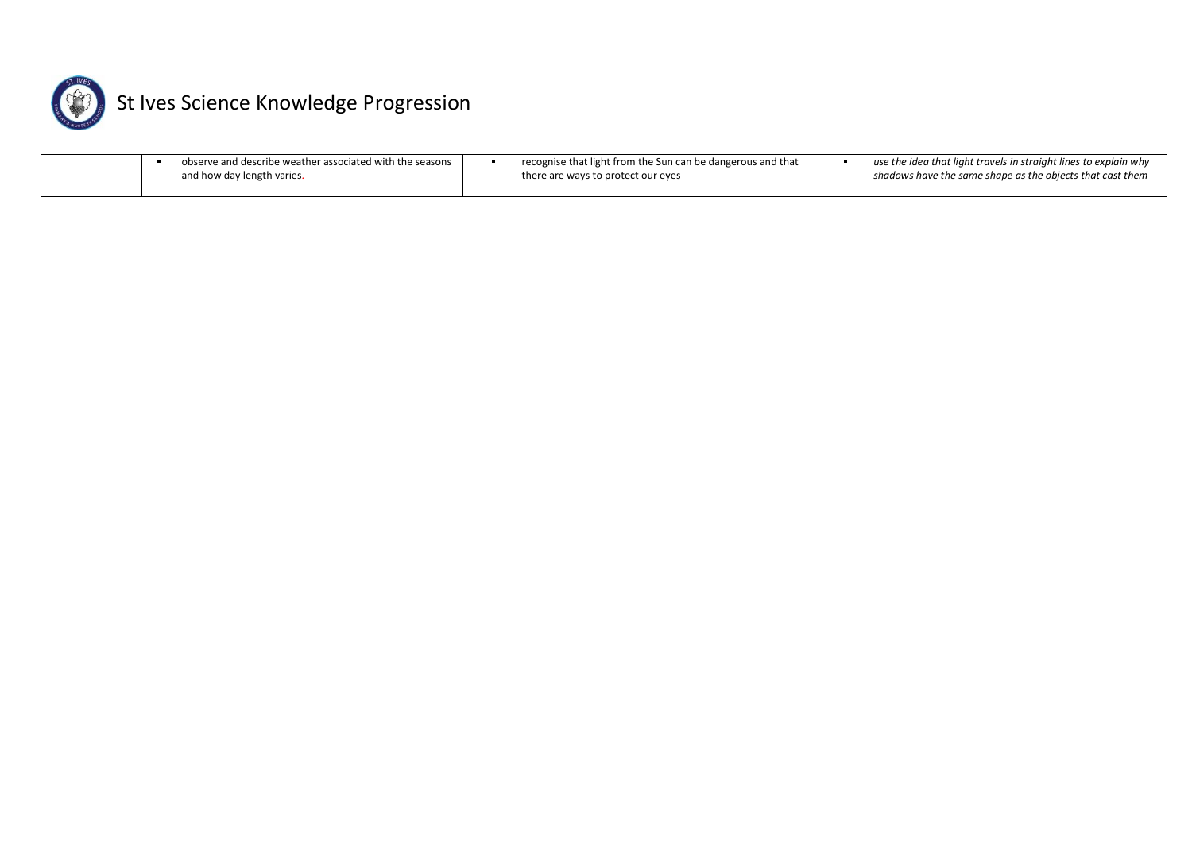

| observe and describe weather associated with the seasons | recognise that light from the Sun can be dangerous and that | use the idea that light travels in straight lines to explain why |
|----------------------------------------------------------|-------------------------------------------------------------|------------------------------------------------------------------|
| and how day length varies.                               | there are ways to protect our eyes                          | shadows have the same shape as the objects that cast them        |
|                                                          |                                                             |                                                                  |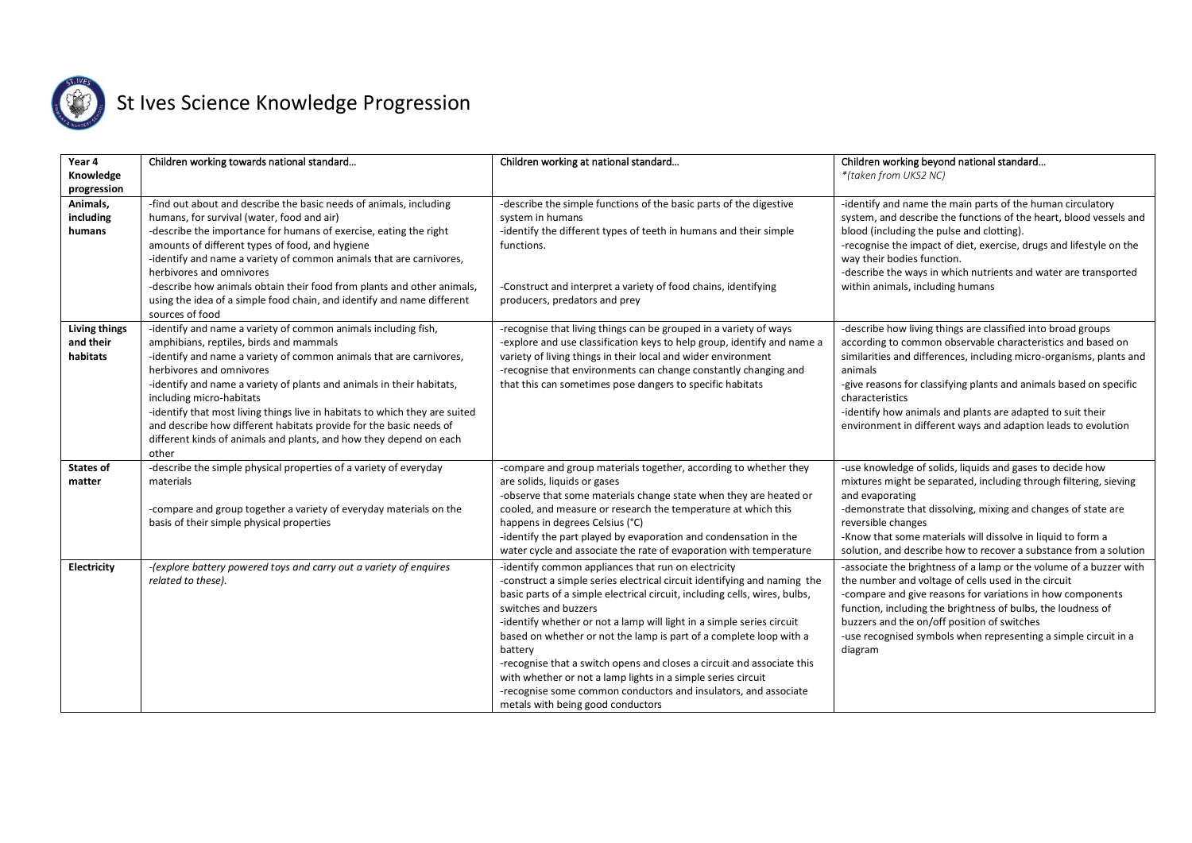

| Year 4<br>Knowledge<br>progression            | Children working towards national standard                                                                                                                                                                                                                                                                                                                                                                                                                                                                                                            | Children working at national standard                                                                                                                                                                                                                                                                                                                                                                                                                                                                                                                                                                                                             | Children working beyond national standard<br>*(taken from UKS2 NC)                                                                                                                                                                                                                                                                                                                                                                    |
|-----------------------------------------------|-------------------------------------------------------------------------------------------------------------------------------------------------------------------------------------------------------------------------------------------------------------------------------------------------------------------------------------------------------------------------------------------------------------------------------------------------------------------------------------------------------------------------------------------------------|---------------------------------------------------------------------------------------------------------------------------------------------------------------------------------------------------------------------------------------------------------------------------------------------------------------------------------------------------------------------------------------------------------------------------------------------------------------------------------------------------------------------------------------------------------------------------------------------------------------------------------------------------|---------------------------------------------------------------------------------------------------------------------------------------------------------------------------------------------------------------------------------------------------------------------------------------------------------------------------------------------------------------------------------------------------------------------------------------|
| Animals,<br>including<br>humans               | -find out about and describe the basic needs of animals, including<br>humans, for survival (water, food and air)<br>-describe the importance for humans of exercise, eating the right<br>amounts of different types of food, and hygiene<br>-identify and name a variety of common animals that are carnivores,<br>herbivores and omnivores<br>-describe how animals obtain their food from plants and other animals,<br>using the idea of a simple food chain, and identify and name different<br>sources of food                                    | -describe the simple functions of the basic parts of the digestive<br>system in humans<br>-identify the different types of teeth in humans and their simple<br>functions.<br>-Construct and interpret a variety of food chains, identifying<br>producers, predators and prey                                                                                                                                                                                                                                                                                                                                                                      | -identify and name the main parts of the human circulatory<br>system, and describe the functions of the heart, blood vessels and<br>blood (including the pulse and clotting).<br>-recognise the impact of diet, exercise, drugs and lifestyle on the<br>way their bodies function.<br>-describe the ways in which nutrients and water are transported<br>within animals, including humans                                             |
| <b>Living things</b><br>and their<br>habitats | -identify and name a variety of common animals including fish,<br>amphibians, reptiles, birds and mammals<br>-identify and name a variety of common animals that are carnivores,<br>herbivores and omnivores<br>-identify and name a variety of plants and animals in their habitats,<br>including micro-habitats<br>-identify that most living things live in habitats to which they are suited<br>and describe how different habitats provide for the basic needs of<br>different kinds of animals and plants, and how they depend on each<br>other | -recognise that living things can be grouped in a variety of ways<br>-explore and use classification keys to help group, identify and name a<br>variety of living things in their local and wider environment<br>-recognise that environments can change constantly changing and<br>that this can sometimes pose dangers to specific habitats                                                                                                                                                                                                                                                                                                     | -describe how living things are classified into broad groups<br>according to common observable characteristics and based on<br>similarities and differences, including micro-organisms, plants and<br>animals<br>-give reasons for classifying plants and animals based on specific<br>characteristics<br>-identify how animals and plants are adapted to suit their<br>environment in different ways and adaption leads to evolution |
| <b>States of</b><br>matter                    | -describe the simple physical properties of a variety of everyday<br>materials<br>-compare and group together a variety of everyday materials on the<br>basis of their simple physical properties                                                                                                                                                                                                                                                                                                                                                     | -compare and group materials together, according to whether they<br>are solids, liquids or gases<br>-observe that some materials change state when they are heated or<br>cooled, and measure or research the temperature at which this<br>happens in degrees Celsius (°C)<br>-identify the part played by evaporation and condensation in the<br>water cycle and associate the rate of evaporation with temperature                                                                                                                                                                                                                               | -use knowledge of solids, liquids and gases to decide how<br>mixtures might be separated, including through filtering, sieving<br>and evaporating<br>-demonstrate that dissolving, mixing and changes of state are<br>reversible changes<br>-Know that some materials will dissolve in liquid to form a<br>solution, and describe how to recover a substance from a solution                                                          |
| <b>Electricity</b>                            | -(explore battery powered toys and carry out a variety of enquires<br>related to these).                                                                                                                                                                                                                                                                                                                                                                                                                                                              | -identify common appliances that run on electricity<br>-construct a simple series electrical circuit identifying and naming the<br>basic parts of a simple electrical circuit, including cells, wires, bulbs,<br>switches and buzzers<br>-identify whether or not a lamp will light in a simple series circuit<br>based on whether or not the lamp is part of a complete loop with a<br>battery<br>-recognise that a switch opens and closes a circuit and associate this<br>with whether or not a lamp lights in a simple series circuit<br>-recognise some common conductors and insulators, and associate<br>metals with being good conductors | -associate the brightness of a lamp or the volume of a buzzer with<br>the number and voltage of cells used in the circuit<br>-compare and give reasons for variations in how components<br>function, including the brightness of bulbs, the loudness of<br>buzzers and the on/off position of switches<br>-use recognised symbols when representing a simple circuit in a<br>diagram                                                  |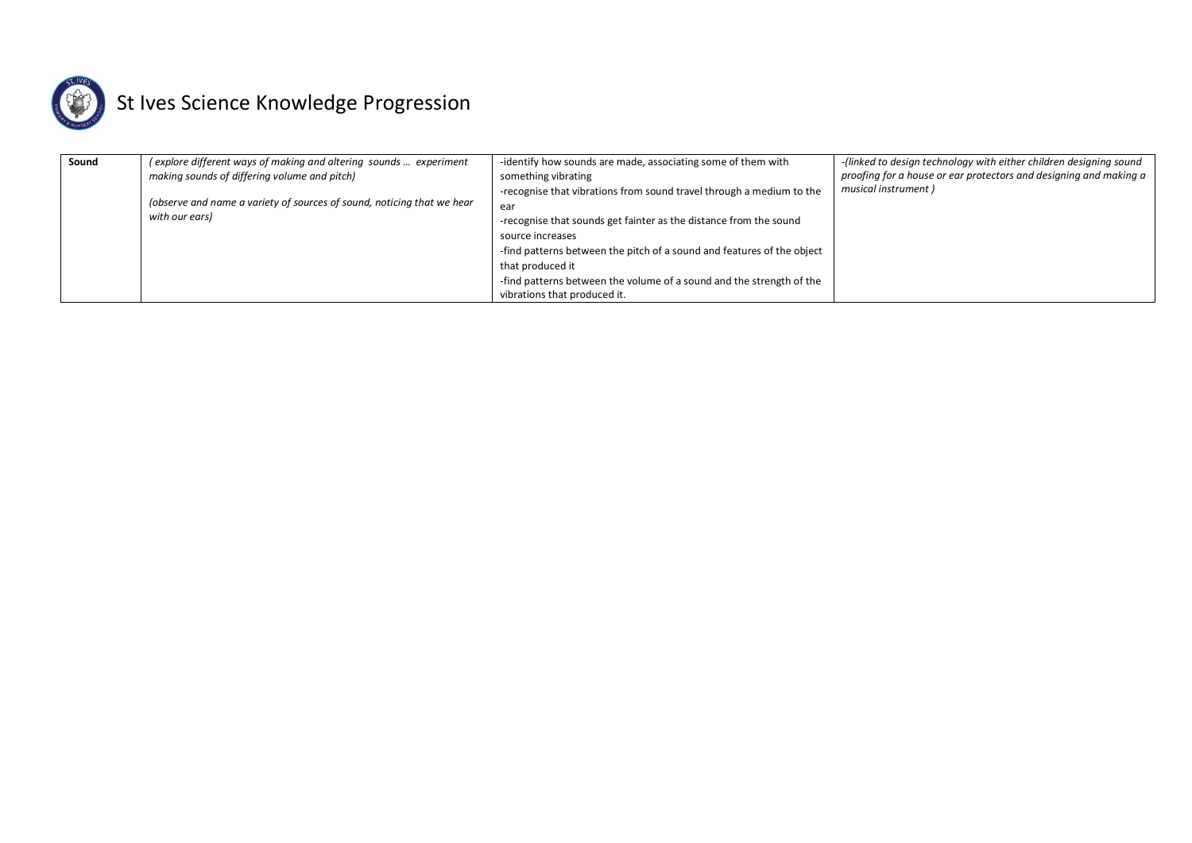

| Sound | (explore different ways of making and altering sounds  experiment      | -identify how sounds are made, associating some of them with           | -(linked to design technology with either children designing sound |
|-------|------------------------------------------------------------------------|------------------------------------------------------------------------|--------------------------------------------------------------------|
|       | making sounds of differing volume and pitch)                           | something vibrating                                                    | proofing for a house or ear protectors and designing and making a  |
|       |                                                                        | -recognise that vibrations from sound travel through a medium to the   | musical instrument)                                                |
|       | (observe and name a variety of sources of sound, noticing that we hear | ear                                                                    |                                                                    |
|       | with our ears)                                                         | -recognise that sounds get fainter as the distance from the sound      |                                                                    |
|       |                                                                        | source increases                                                       |                                                                    |
|       |                                                                        | -find patterns between the pitch of a sound and features of the object |                                                                    |
|       |                                                                        | that produced it                                                       |                                                                    |
|       |                                                                        | -find patterns between the volume of a sound and the strength of the   |                                                                    |
|       |                                                                        | vibrations that produced it.                                           |                                                                    |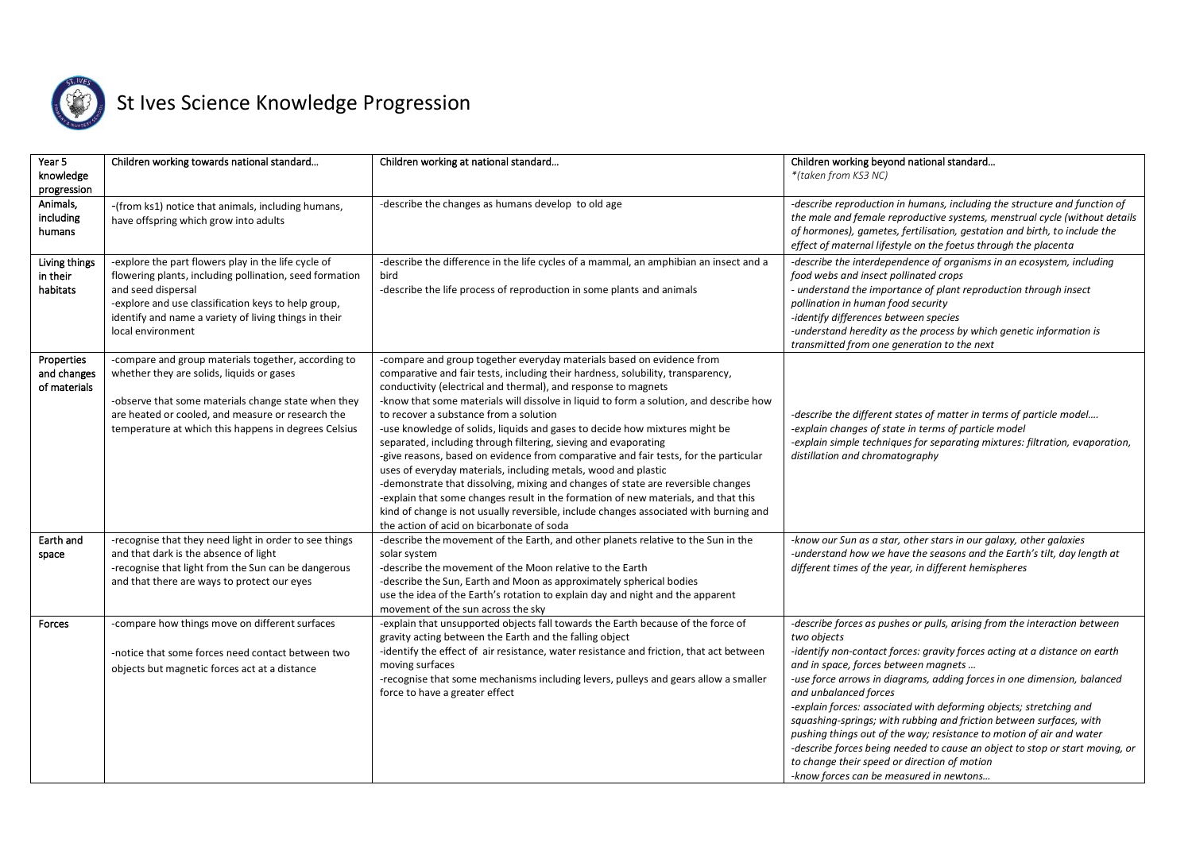

| Year 5<br>knowledge<br>progression        | Children working towards national standard                                                                                                                                                                                                                                | Children working at national standard                                                                                                                                                                                                                                                                                                                                                                                                                                                                                                                                                                                                                                                                                                                                                                                                                                                                                                                                                      | Children working beyond national standard<br>*(taken from KS3 NC)                                                                                                                                                                                                                                                                                                                                                                                                                                                                                                                                                                                                                                                  |
|-------------------------------------------|---------------------------------------------------------------------------------------------------------------------------------------------------------------------------------------------------------------------------------------------------------------------------|--------------------------------------------------------------------------------------------------------------------------------------------------------------------------------------------------------------------------------------------------------------------------------------------------------------------------------------------------------------------------------------------------------------------------------------------------------------------------------------------------------------------------------------------------------------------------------------------------------------------------------------------------------------------------------------------------------------------------------------------------------------------------------------------------------------------------------------------------------------------------------------------------------------------------------------------------------------------------------------------|--------------------------------------------------------------------------------------------------------------------------------------------------------------------------------------------------------------------------------------------------------------------------------------------------------------------------------------------------------------------------------------------------------------------------------------------------------------------------------------------------------------------------------------------------------------------------------------------------------------------------------------------------------------------------------------------------------------------|
| Animals,<br>including<br>humans           | -(from ks1) notice that animals, including humans,<br>have offspring which grow into adults                                                                                                                                                                               | -describe the changes as humans develop to old age                                                                                                                                                                                                                                                                                                                                                                                                                                                                                                                                                                                                                                                                                                                                                                                                                                                                                                                                         | -describe reproduction in humans, including the structure and function of<br>the male and female reproductive systems, menstrual cycle (without details<br>of hormones), gametes, fertilisation, gestation and birth, to include the<br>effect of maternal lifestyle on the foetus through the placenta                                                                                                                                                                                                                                                                                                                                                                                                            |
| Living things<br>in their<br>habitats     | -explore the part flowers play in the life cycle of<br>flowering plants, including pollination, seed formation<br>and seed dispersal<br>-explore and use classification keys to help group,<br>identify and name a variety of living things in their<br>local environment | -describe the difference in the life cycles of a mammal, an amphibian an insect and a<br>bird<br>-describe the life process of reproduction in some plants and animals                                                                                                                                                                                                                                                                                                                                                                                                                                                                                                                                                                                                                                                                                                                                                                                                                     | -describe the interdependence of organisms in an ecosystem, including<br>food webs and insect pollinated crops<br>- understand the importance of plant reproduction through insect<br>pollination in human food security<br>-identify differences between species<br>-understand heredity as the process by which genetic information is<br>transmitted from one generation to the next                                                                                                                                                                                                                                                                                                                            |
| Properties<br>and changes<br>of materials | -compare and group materials together, according to<br>whether they are solids, liquids or gases<br>-observe that some materials change state when they<br>are heated or cooled, and measure or research the<br>temperature at which this happens in degrees Celsius      | -compare and group together everyday materials based on evidence from<br>comparative and fair tests, including their hardness, solubility, transparency,<br>conductivity (electrical and thermal), and response to magnets<br>-know that some materials will dissolve in liquid to form a solution, and describe how<br>to recover a substance from a solution<br>-use knowledge of solids, liquids and gases to decide how mixtures might be<br>separated, including through filtering, sieving and evaporating<br>-give reasons, based on evidence from comparative and fair tests, for the particular<br>uses of everyday materials, including metals, wood and plastic<br>-demonstrate that dissolving, mixing and changes of state are reversible changes<br>-explain that some changes result in the formation of new materials, and that this<br>kind of change is not usually reversible, include changes associated with burning and<br>the action of acid on bicarbonate of soda | -describe the different states of matter in terms of particle model<br>-explain changes of state in terms of particle model<br>-explain simple techniques for separating mixtures: filtration, evaporation,<br>distillation and chromatography                                                                                                                                                                                                                                                                                                                                                                                                                                                                     |
| Earth and<br>space                        | -recognise that they need light in order to see things<br>and that dark is the absence of light<br>-recognise that light from the Sun can be dangerous<br>and that there are ways to protect our eyes                                                                     | -describe the movement of the Earth, and other planets relative to the Sun in the<br>solar system<br>-describe the movement of the Moon relative to the Earth<br>-describe the Sun, Earth and Moon as approximately spherical bodies<br>use the idea of the Earth's rotation to explain day and night and the apparent<br>movement of the sun across the sky                                                                                                                                                                                                                                                                                                                                                                                                                                                                                                                                                                                                                               | -know our Sun as a star, other stars in our galaxy, other galaxies<br>-understand how we have the seasons and the Earth's tilt, day length at<br>different times of the year, in different hemispheres                                                                                                                                                                                                                                                                                                                                                                                                                                                                                                             |
| Forces                                    | -compare how things move on different surfaces<br>-notice that some forces need contact between two<br>objects but magnetic forces act at a distance                                                                                                                      | -explain that unsupported objects fall towards the Earth because of the force of<br>gravity acting between the Earth and the falling object<br>-identify the effect of air resistance, water resistance and friction, that act between<br>moving surfaces<br>-recognise that some mechanisms including levers, pulleys and gears allow a smaller<br>force to have a greater effect                                                                                                                                                                                                                                                                                                                                                                                                                                                                                                                                                                                                         | -describe forces as pushes or pulls, arising from the interaction between<br>two objects<br>-identify non-contact forces: gravity forces acting at a distance on earth<br>and in space, forces between magnets<br>-use force arrows in diagrams, adding forces in one dimension, balanced<br>and unbalanced forces<br>-explain forces: associated with deforming objects; stretching and<br>squashing-springs; with rubbing and friction between surfaces, with<br>pushing things out of the way; resistance to motion of air and water<br>-describe forces being needed to cause an object to stop or start moving, or<br>to change their speed or direction of motion<br>-know forces can be measured in newtons |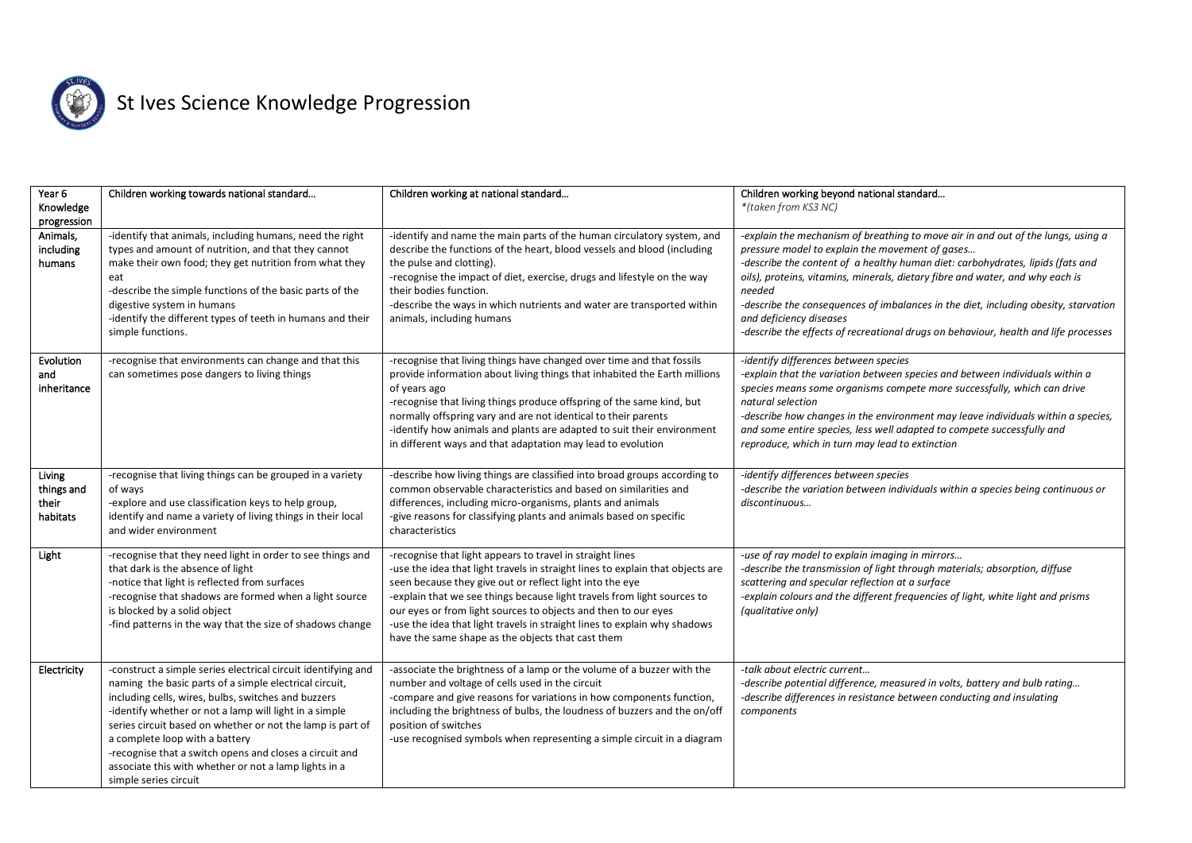

| Year 6<br>Knowledge<br>progression        | Children working towards national standard                                                                                                                                                                                                                                                                                                                                                                                                                                            | Children working at national standard                                                                                                                                                                                                                                                                                                                                                                                                                                                  | Children working beyond national standard<br>*(taken from KS3 NC)                                                                                                                                                                                                                                                                                                                                                                                                                                                         |
|-------------------------------------------|---------------------------------------------------------------------------------------------------------------------------------------------------------------------------------------------------------------------------------------------------------------------------------------------------------------------------------------------------------------------------------------------------------------------------------------------------------------------------------------|----------------------------------------------------------------------------------------------------------------------------------------------------------------------------------------------------------------------------------------------------------------------------------------------------------------------------------------------------------------------------------------------------------------------------------------------------------------------------------------|---------------------------------------------------------------------------------------------------------------------------------------------------------------------------------------------------------------------------------------------------------------------------------------------------------------------------------------------------------------------------------------------------------------------------------------------------------------------------------------------------------------------------|
| Animals,<br>including<br>humans           | -identify that animals, including humans, need the right<br>types and amount of nutrition, and that they cannot<br>make their own food; they get nutrition from what they<br>eat<br>-describe the simple functions of the basic parts of the<br>digestive system in humans<br>-identify the different types of teeth in humans and their<br>simple functions.                                                                                                                         | -identify and name the main parts of the human circulatory system, and<br>describe the functions of the heart, blood vessels and blood (including<br>the pulse and clotting).<br>-recognise the impact of diet, exercise, drugs and lifestyle on the way<br>their bodies function.<br>-describe the ways in which nutrients and water are transported within<br>animals, including humans                                                                                              | -explain the mechanism of breathing to move air in and out of the lungs, using a<br>pressure model to explain the movement of gases<br>-describe the content of a healthy human diet: carbohydrates, lipids (fats and<br>oils), proteins, vitamins, minerals, dietary fibre and water, and why each is<br>needed<br>-describe the consequences of imbalances in the diet, including obesity, starvation<br>and deficiency diseases<br>-describe the effects of recreational drugs on behaviour, health and life processes |
| Evolution<br>and<br>inheritance           | -recognise that environments can change and that this<br>can sometimes pose dangers to living things                                                                                                                                                                                                                                                                                                                                                                                  | -recognise that living things have changed over time and that fossils<br>provide information about living things that inhabited the Earth millions<br>of years ago<br>-recognise that living things produce offspring of the same kind, but<br>normally offspring vary and are not identical to their parents<br>-identify how animals and plants are adapted to suit their environment<br>in different ways and that adaptation may lead to evolution                                 | -identify differences between species<br>-explain that the variation between species and between individuals within a<br>species means some organisms compete more successfully, which can drive<br>natural selection<br>-describe how changes in the environment may leave individuals within a species,<br>and some entire species, less well adapted to compete successfully and<br>reproduce, which in turn may lead to extinction                                                                                    |
| Living<br>things and<br>their<br>habitats | -recognise that living things can be grouped in a variety<br>of ways<br>-explore and use classification keys to help group,<br>identify and name a variety of living things in their local<br>and wider environment                                                                                                                                                                                                                                                                   | -describe how living things are classified into broad groups according to<br>common observable characteristics and based on similarities and<br>differences, including micro-organisms, plants and animals<br>-give reasons for classifying plants and animals based on specific<br>characteristics                                                                                                                                                                                    | -identify differences between species<br>-describe the variation between individuals within a species being continuous or<br>discontinuous                                                                                                                                                                                                                                                                                                                                                                                |
| Light                                     | -recognise that they need light in order to see things and<br>that dark is the absence of light<br>-notice that light is reflected from surfaces<br>-recognise that shadows are formed when a light source<br>is blocked by a solid object<br>-find patterns in the way that the size of shadows change                                                                                                                                                                               | -recognise that light appears to travel in straight lines<br>-use the idea that light travels in straight lines to explain that objects are<br>seen because they give out or reflect light into the eye<br>-explain that we see things because light travels from light sources to<br>our eyes or from light sources to objects and then to our eyes<br>-use the idea that light travels in straight lines to explain why shadows<br>have the same shape as the objects that cast them | -use of ray model to explain imaging in mirrors<br>-describe the transmission of light through materials; absorption, diffuse<br>scattering and specular reflection at a surface<br>-explain colours and the different frequencies of light, white light and prisms<br>(qualitative only)                                                                                                                                                                                                                                 |
| Electricity                               | -construct a simple series electrical circuit identifying and<br>naming the basic parts of a simple electrical circuit,<br>including cells, wires, bulbs, switches and buzzers<br>-identify whether or not a lamp will light in a simple<br>series circuit based on whether or not the lamp is part of<br>a complete loop with a battery<br>-recognise that a switch opens and closes a circuit and<br>associate this with whether or not a lamp lights in a<br>simple series circuit | -associate the brightness of a lamp or the volume of a buzzer with the<br>number and voltage of cells used in the circuit<br>-compare and give reasons for variations in how components function,<br>including the brightness of bulbs, the loudness of buzzers and the on/off<br>position of switches<br>-use recognised symbols when representing a simple circuit in a diagram                                                                                                      | -talk about electric current<br>-describe potential difference, measured in volts, battery and bulb rating<br>-describe differences in resistance between conducting and insulating<br>components                                                                                                                                                                                                                                                                                                                         |